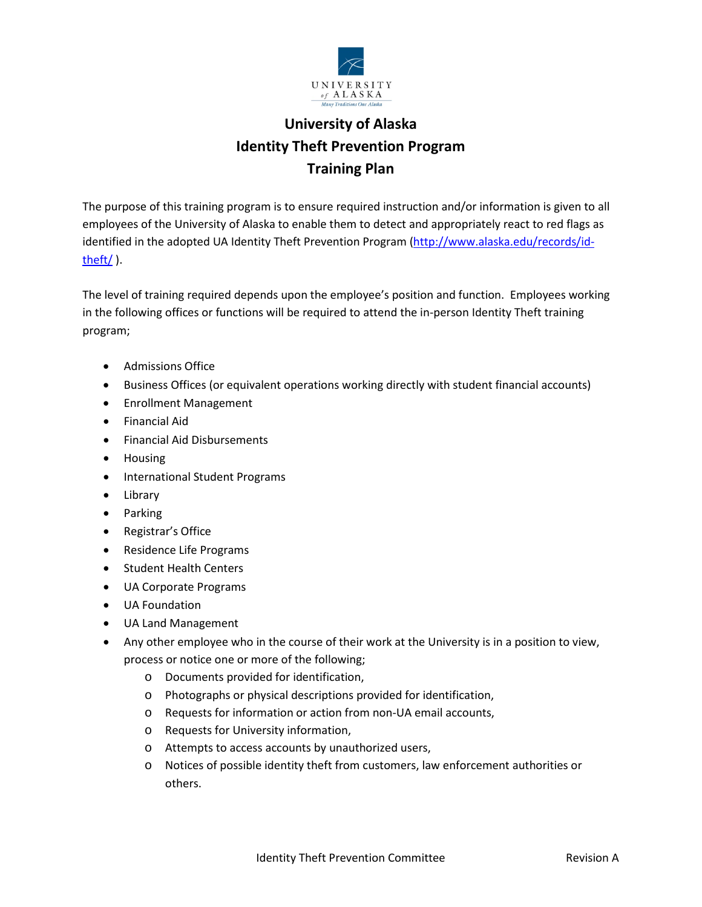

## **University of Alaska Identity Theft Prevention Program Training Plan**

The purpose of this training program is to ensure required instruction and/or information is given to all employees of the University of Alaska to enable them to detect and appropriately react to red flags as identified in the adopted UA Identity Theft Prevention Program [\(http://www.alaska.edu/records/id](http://www.alaska.edu/records/id-theft/)[theft/](http://www.alaska.edu/records/id-theft/) ).

The level of training required depends upon the employee's position and function. Employees working in the following offices or functions will be required to attend the in-person Identity Theft training program;

- Admissions Office
- Business Offices (or equivalent operations working directly with student financial accounts)
- Enrollment Management
- Financial Aid
- Financial Aid Disbursements
- Housing
- International Student Programs
- Library
- Parking
- Registrar's Office
- Residence Life Programs
- Student Health Centers
- UA Corporate Programs
- UA Foundation
- UA Land Management
- Any other employee who in the course of their work at the University is in a position to view, process or notice one or more of the following;
	- o Documents provided for identification,
	- o Photographs or physical descriptions provided for identification,
	- o Requests for information or action from non-UA email accounts,
	- o Requests for University information,
	- o Attempts to access accounts by unauthorized users,
	- o Notices of possible identity theft from customers, law enforcement authorities or others.